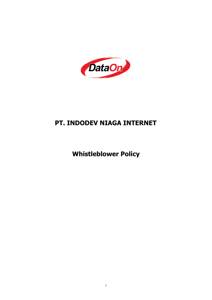

# **PT. INDODEV NIAGA INTERNET**

**Whistleblower Policy**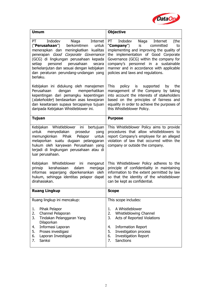

| PT<br>Indodev<br>Internet<br>PT<br>Indodev<br>Internet<br>Niaga<br>Niaga<br>(the<br>("Perusahaan")<br>berkomitmen<br>untuk<br>"Company")<br>committed<br>is<br>to<br>implementing and improving the quality of<br>menerapkan dan meningkatkan kualitas<br>penerapan Good Corporate Governance<br>the implementation of Good Corporate<br>(GCG) di lingkungan perusahaan kepada<br>Governance (GCG) within the company for<br>perusahaan<br>company's personnel in a sustainable<br>setiap<br>personel<br>secara<br>berkelanjutan dan sesuai dengan kebijakan<br>manner and in accordance with applicable<br>dan peraturan perundang-undangan yang<br>policies and laws and regulations.<br>berlaku.<br>Kebijakan ini didukung oleh manajemen<br><b>This</b><br>policy<br>is<br>supported<br>the<br>by<br>management of the Company by taking<br>Perusahaan<br>dengan<br>memperhatikan<br>kepentingan dari pemangku kepentingan<br>into account the interests of stakeholders<br>(stakeholder) berdasarkan asas kewajaran<br>based on the principles of fairness and<br>equality in order to achieve the purposes of<br>dan kesetaraan supaya tercapainya tujuan<br>daripada Kebijakan Whistleblower ini.<br>this Whistleblower Policy.<br><b>Tujuan</b><br><b>Purpose</b><br>Whistleblower<br>This Whistleblower Policy aims to provide<br>Kebijakan<br>ini<br>bertujuan<br>procedures that allow whistleblowers to<br>untuk<br>menyediakan<br>prosedur<br>yang<br>report Company's employee for an alleged<br>memungkinkan<br>Pihak<br>Pelapor<br>untuk<br>violation of law that occurred within the<br>melaporkan suatu dugaan pelanggaran<br>hukum oleh karyawan Perusahaan yang<br>company or outside the company.<br>terjadi di lingkungan perusahaan atau di<br>luar perusahaan.<br>Kebijakan Whistleblower ini menganut<br>This Whistleblower Policy adheres to the<br>principle of confidentiality in maintaining<br>prinsip<br>kerahasiaan<br>dalam<br>menjaga<br>informas sepanjang diperkenankan oleh<br>information to the extent permitted by law<br>hukum, sehingga identitas pelapor dapat<br>so that the identity of the whistleblower<br>dirahasiakan.<br>can be kept as confidential.<br><b>Ruang Lingkup</b><br><b>Scope</b><br>Ruang lingkup ini mencakup:<br>This scope includes:<br>Pihak Pelapor<br>A Whistleblower<br>1.<br>1.<br>Channel Pelaporan<br>2.<br>2.<br>Whistleblowing Channel<br>3.<br>Tindakan Pelanggaran Yang<br>3.<br>Acts of Reported Violations | <b>Umum</b> | <b>Objective</b> |
|-------------------------------------------------------------------------------------------------------------------------------------------------------------------------------------------------------------------------------------------------------------------------------------------------------------------------------------------------------------------------------------------------------------------------------------------------------------------------------------------------------------------------------------------------------------------------------------------------------------------------------------------------------------------------------------------------------------------------------------------------------------------------------------------------------------------------------------------------------------------------------------------------------------------------------------------------------------------------------------------------------------------------------------------------------------------------------------------------------------------------------------------------------------------------------------------------------------------------------------------------------------------------------------------------------------------------------------------------------------------------------------------------------------------------------------------------------------------------------------------------------------------------------------------------------------------------------------------------------------------------------------------------------------------------------------------------------------------------------------------------------------------------------------------------------------------------------------------------------------------------------------------------------------------------------------------------------------------------------------------------------------------------------------------------------------------------------------------------------------------------------------------------------------------------------------------------------------------------------------------------------------------------------------------------------------------------------------------------------------------------------------------------------------------------------------------------------------------------------------------|-------------|------------------|
|                                                                                                                                                                                                                                                                                                                                                                                                                                                                                                                                                                                                                                                                                                                                                                                                                                                                                                                                                                                                                                                                                                                                                                                                                                                                                                                                                                                                                                                                                                                                                                                                                                                                                                                                                                                                                                                                                                                                                                                                                                                                                                                                                                                                                                                                                                                                                                                                                                                                                           |             |                  |
|                                                                                                                                                                                                                                                                                                                                                                                                                                                                                                                                                                                                                                                                                                                                                                                                                                                                                                                                                                                                                                                                                                                                                                                                                                                                                                                                                                                                                                                                                                                                                                                                                                                                                                                                                                                                                                                                                                                                                                                                                                                                                                                                                                                                                                                                                                                                                                                                                                                                                           |             |                  |
|                                                                                                                                                                                                                                                                                                                                                                                                                                                                                                                                                                                                                                                                                                                                                                                                                                                                                                                                                                                                                                                                                                                                                                                                                                                                                                                                                                                                                                                                                                                                                                                                                                                                                                                                                                                                                                                                                                                                                                                                                                                                                                                                                                                                                                                                                                                                                                                                                                                                                           |             |                  |
|                                                                                                                                                                                                                                                                                                                                                                                                                                                                                                                                                                                                                                                                                                                                                                                                                                                                                                                                                                                                                                                                                                                                                                                                                                                                                                                                                                                                                                                                                                                                                                                                                                                                                                                                                                                                                                                                                                                                                                                                                                                                                                                                                                                                                                                                                                                                                                                                                                                                                           |             |                  |
|                                                                                                                                                                                                                                                                                                                                                                                                                                                                                                                                                                                                                                                                                                                                                                                                                                                                                                                                                                                                                                                                                                                                                                                                                                                                                                                                                                                                                                                                                                                                                                                                                                                                                                                                                                                                                                                                                                                                                                                                                                                                                                                                                                                                                                                                                                                                                                                                                                                                                           |             |                  |
|                                                                                                                                                                                                                                                                                                                                                                                                                                                                                                                                                                                                                                                                                                                                                                                                                                                                                                                                                                                                                                                                                                                                                                                                                                                                                                                                                                                                                                                                                                                                                                                                                                                                                                                                                                                                                                                                                                                                                                                                                                                                                                                                                                                                                                                                                                                                                                                                                                                                                           |             |                  |
|                                                                                                                                                                                                                                                                                                                                                                                                                                                                                                                                                                                                                                                                                                                                                                                                                                                                                                                                                                                                                                                                                                                                                                                                                                                                                                                                                                                                                                                                                                                                                                                                                                                                                                                                                                                                                                                                                                                                                                                                                                                                                                                                                                                                                                                                                                                                                                                                                                                                                           |             |                  |
| Informasi Laporan<br><b>Information Report</b><br>4.<br>4.<br>5.<br>Proses investigasi<br>5.<br>Investigation process<br><b>Investigation Report</b><br>6.<br>Laporan Investigasi<br>6.<br>7.<br><b>Sanctions</b><br>Sanksi<br>7.                                                                                                                                                                                                                                                                                                                                                                                                                                                                                                                                                                                                                                                                                                                                                                                                                                                                                                                                                                                                                                                                                                                                                                                                                                                                                                                                                                                                                                                                                                                                                                                                                                                                                                                                                                                                                                                                                                                                                                                                                                                                                                                                                                                                                                                         | Dilaporkan  |                  |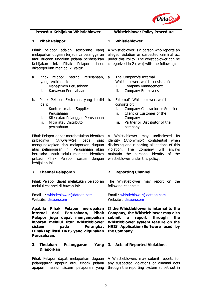

| Prosedur Kebijakan Whistleblower                                                                                                                                                                                                                                               | <b>Whistleblower Policy Procedure</b>                                                                                                                                                                                                                           |
|--------------------------------------------------------------------------------------------------------------------------------------------------------------------------------------------------------------------------------------------------------------------------------|-----------------------------------------------------------------------------------------------------------------------------------------------------------------------------------------------------------------------------------------------------------------|
| 1. Pihak Pelapor                                                                                                                                                                                                                                                               | Whistleblower<br>1.                                                                                                                                                                                                                                             |
| Pihak pelapor adalah seseorang yang<br>melaporkan dugaan terjadinya pelanggaran<br>atau dugaan tindakan pidana berdasarkan<br>Kebijakan<br>ini.<br>Pihak Pelapor<br>dapat<br>dikategorikan menjadi 2, yaitu:                                                                   | A Whistleblower is a person who reports an<br>alleged violation or suspected criminal act<br>under this Policy. The whistleblower can be<br>categorized in 2 (two) with the following:                                                                          |
| Pihak Pelapor Internal Perusahaan,<br>a.<br>yang terdiri dari:<br>Manajemen Perusahaan<br>L.<br>Karyawan Perusahaan<br>ii.                                                                                                                                                     | The Company's Internal<br>a.<br>Whistleblower, which consists of:<br>Company Management<br>i.<br>Company Employees<br>ii.                                                                                                                                       |
| Pihak Pelapor Eksternal, yang terdiri<br>b.<br>dari:<br>Kontraktor atau Supplier<br>i.<br>Perusahaan<br>Klien atau Pelanggan Perusahaan<br>ii.<br>iii.<br>Mitra atau Distributor<br>perusahaan                                                                                 | External's Whistleblower, which<br>b.<br>consists of:<br>Company Contractor or Supplier<br>i.<br>ii.<br>Client or Customer of the<br>Company<br>Partner or Distributor of the<br>iii.<br>company                                                                |
| Pihak Pelapor dapat merahasiakan identitas<br>(Anonymity)<br>pribadinya<br>pada<br>saat<br>mengungkapkan dan melaporkan dugaan<br>atas pelanggaran ini. Perusahaan akan<br>berusaha untuk selalu menjaga identitas<br>pribadi Pihak Pelapor sesuai<br>dengan<br>kebijakan ini. | Whistleblower may undisclosed<br>A<br>its<br>identity (Anonymity) confidential when<br>disclosing and reporting allegations of this<br>The Company will<br>violation.<br>always<br>maintain the personal identity<br>of the<br>whistleblower under this policy. |
| 2. Channel Pelaporan                                                                                                                                                                                                                                                           | 2.<br><b>Reporting Channel</b>                                                                                                                                                                                                                                  |
| Pihak Pelapor dapat melakukan pelaporan<br>melalui channel di bawah ini:<br>whistleblower@dataon.com<br>Email<br>Website: dataon.com                                                                                                                                           | The Whistleblower may report on the<br>following channels:<br>Email : whistleblower@dataon.com<br>Website : dataon.com                                                                                                                                          |
| Apabila<br>Pihak Pelapor merupakan<br>Perusahaan,<br>internal<br><b>Pihak</b><br>dari<br>Pelapor juga dapat menyampaikan<br>laporan melalui fitur Whistleblower<br>sistem<br>pada<br><b>Perangkat</b><br>Lunak/Aplikasi HRIS yang digunakan<br>Perusahaan.                     | If the Whistleblower is internal to the<br>Company, the Whistleblower may also<br>submit<br>report<br>through<br>$\mathbf{a}$<br>the<br>Whistleblower system feature on the<br><b>HRIS Application/Software used by</b><br>the Company.                         |
| <b>Tindakan</b><br>3.<br>Pelanggaran<br>Yang<br><b>Dilaporkan</b>                                                                                                                                                                                                              | <b>Acts of Reported Violations</b><br>3.                                                                                                                                                                                                                        |
| Pihak Pelapor dapat melaporkan dugaan<br>pelanggaran apapun atau tindak pidana<br>apapun melalui sistem pelaporan yang                                                                                                                                                         | A Whistleblowers may submit reports for<br>any suspected violations or criminal acts<br>through the reporting system as set out in                                                                                                                              |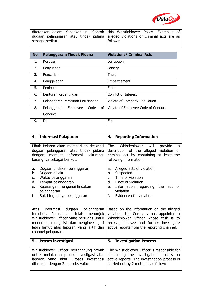

|                  | ditetapkan dalam Kebijakan ini. Contoh   this Whistleblower Policy. Examples of                |
|------------------|------------------------------------------------------------------------------------------------|
| sebagai berikut: | dugaan pelanggaran atau tindak pidana   alleged violations or criminal acts are as<br>follows: |

| No. | Pelanggaran/Tindak Pidana             | <b>Violations/ Criminal Acts</b>    |
|-----|---------------------------------------|-------------------------------------|
| 1.  | Korupsi                               | corruption                          |
| 2.  | Penyuapan                             | <b>Bribery</b>                      |
| 3.  | Pencurian                             | Theft                               |
| 4.  | Penggelapan                           | Embezzlement                        |
| 5.  | Penipuan                              | Fraud                               |
| 6.  | Benturan Kepentingan                  | Conflict of Interest                |
| 7.  | Pelanggaran Peraturan Perusahaan      | Violate of Company Regulation       |
| 8.  | Pelanggaran<br>Employee<br>Code<br>of | Violate of Employee Code of Conduct |
|     | Conduct                               |                                     |
| 9.  | DII                                   | <b>Etc</b>                          |

| 4. Informasi Pelaporan                                                                                                                                                                                                                           | 4. Reporting Information                                                                                                                                                                                              |
|--------------------------------------------------------------------------------------------------------------------------------------------------------------------------------------------------------------------------------------------------|-----------------------------------------------------------------------------------------------------------------------------------------------------------------------------------------------------------------------|
| Pihak Pelapor akan memberikan deskripsi<br>dugaan pelanggaran atau tindak pidana<br>memuat<br>informasi<br>sekurang-<br>dengan<br>kurangnya sebagai berikut:                                                                                     | Whistleblower<br>The<br>will<br>provide<br>a<br>description of the alleged violation<br>or<br>criminal act by containing at least the<br>following information:                                                       |
| Dugaan tindakan pelanggaran                                                                                                                                                                                                                      | Alleged acts of violation                                                                                                                                                                                             |
| a.                                                                                                                                                                                                                                               | a.                                                                                                                                                                                                                    |
| Dugaan pelaku                                                                                                                                                                                                                                    | b.                                                                                                                                                                                                                    |
| b.                                                                                                                                                                                                                                               | Suspected                                                                                                                                                                                                             |
| Waktu pelanggaran                                                                                                                                                                                                                                | Time of violation                                                                                                                                                                                                     |
| c.                                                                                                                                                                                                                                               | $C_{\cdot}$                                                                                                                                                                                                           |
| Tempat pelanggaran                                                                                                                                                                                                                               | Place of violation                                                                                                                                                                                                    |
| d.                                                                                                                                                                                                                                               | d.                                                                                                                                                                                                                    |
| Keterangan mengenai tindakan                                                                                                                                                                                                                     | Information regarding the act of                                                                                                                                                                                      |
| e.                                                                                                                                                                                                                                               | e.                                                                                                                                                                                                                    |
| pelanggaran                                                                                                                                                                                                                                      | violation                                                                                                                                                                                                             |
| Bukti terjadinya pelanggaran                                                                                                                                                                                                                     | Evidence of a violation                                                                                                                                                                                               |
| f.                                                                                                                                                                                                                                               | f.                                                                                                                                                                                                                    |
| informasi<br>dugaan<br>Atas<br>pelanggaran<br>tersebut, Perusahaan telah<br>menunjuk<br>Whistleblower Officer yang bertugas untuk<br>menerima, mengalisis dan menginvestigasi<br>lebih lanjut atas laporan yang aktif dari<br>channel pelaporan. | Based on the information on the alleged<br>violation, the Company has appointed a<br>Whistleblower Officer whose task is to<br>receive, analyze and further investigate<br>active reports from the reporting channel. |
| <b>Proses investigasi</b>                                                                                                                                                                                                                        | <b>Investigation Process</b>                                                                                                                                                                                          |
| 5.                                                                                                                                                                                                                                               | 5.                                                                                                                                                                                                                    |
| Whistleblower Officer bertanggung jawab                                                                                                                                                                                                          | The Whistleblower Officer is responsible for                                                                                                                                                                          |
| untuk melakukan proses investigasi atas                                                                                                                                                                                                          | conducting the investigation process on                                                                                                                                                                               |
| laporan yang aktif. Proses investigasi                                                                                                                                                                                                           | active reports. The investigation process is                                                                                                                                                                          |
| dilakukan dengan 2 metode, yaitu:                                                                                                                                                                                                                | carried out by 2 methods as follow:                                                                                                                                                                                   |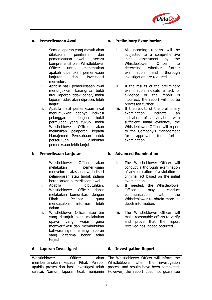

## **a. Pemeriksaaan Awal**

i. Semua laporan yang masuk akan | i.<br>dilakukan penilaian dan | pemeriksaaan awal secara komprehensif oleh Whistleblower Officer untuk menentukan apakah diperlukan pemeriksaan lanjutan dan investigasi menyeluruh.

ii. Apabila hasil pemeriksaaan awal ii. menunjukkan kurangnya bukti atau laporan tidak benar, maka laporan tidak akan diproses lebih lanjut.

iii. Apabila hasil pemeriksaan awal iii. menunjukkan adanya indikasi pelanggaran dengan bukti permulaan yang cukup, maka<br>Whistleblowe Officer akan Whistleblowe melakukan pelaporan kepada Manajemen Perusahaan untuk persetujuan pemeriksaan lebih lanjut

### **b. Pemeriksaan Lanjutan**

- i. Whistleblower Officer akan melakukan pemeriksaan menyeluruh atas adanya indikasi pelanggaran atau tindak pidana berdasarkan pemeriksaan awal.<br>Apabila dibutuhkan.
- ii. Apabila dibutuhkan, ii. If nee<br>Whistleblower Officer danat Officer Whistleblower Officer dapat melakukan komunikasi dengan mendapatkan informasi lebih dalam.
- iii. Whistleblower Officer atau tim yang ditunjuk akan melakukan memverifikasi dan membuktikan bahwasannya memang laporan yang diterima benar telah terjadi.

## **a. Preliminary Examination**

- dilakukan penilaian dan subjected to a comprehensive All incoming reports will be assessment by the Whistleblower Officer to determine whether further examination and thorough investigation are required.
	- If the results of the preliminary examination indicate a lack of evidence or the report is incorrect, the report will not be processed further.
	- If the results of the preliminary examination indicate an indication of a violation with sufficient initial evidence, the Whistleblower Officer will report to the Company's Management<br>for approval for further approval examination.

### **b. Advanced Examination**

- The Whistleblower Officer will conduct a thorough examination of any indication of a violation or criminal act based on the initial examination.
- Pihak Pelapor guna Whistleblower to obtain more in- If needed, the Whistleblower may conduct<br>n with the communication depth information.
- upaya yang wajar guna| and prove that the report| The Whistleblower Officer will make reasonable efforts to verify received has indeed occurred.

| 6. Laporan Investigasi   | <b>6. Investigation Report</b>                                                                                               |
|--------------------------|------------------------------------------------------------------------------------------------------------------------------|
| Whistleblower<br>Officer | akan   The Whistleblower Officer will inform the<br>memberitahukan kepada Pihak Pelapor Whistleblower when the investigation |
|                          | apabila proses dan hasil investigasi telah   process and results have been completed.                                        |
|                          | selesai. Namun, laporan tidak menjamin   However, the report does not guarantee                                              |